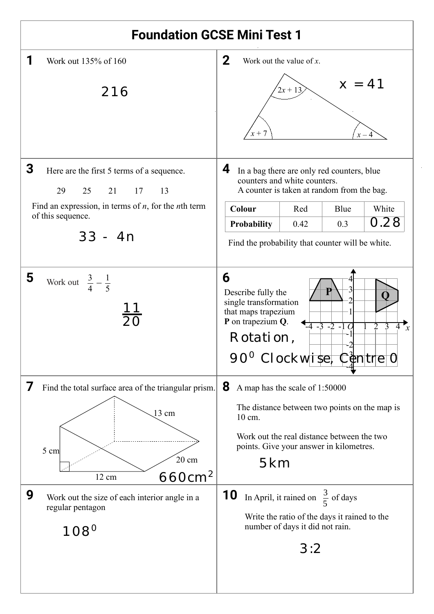